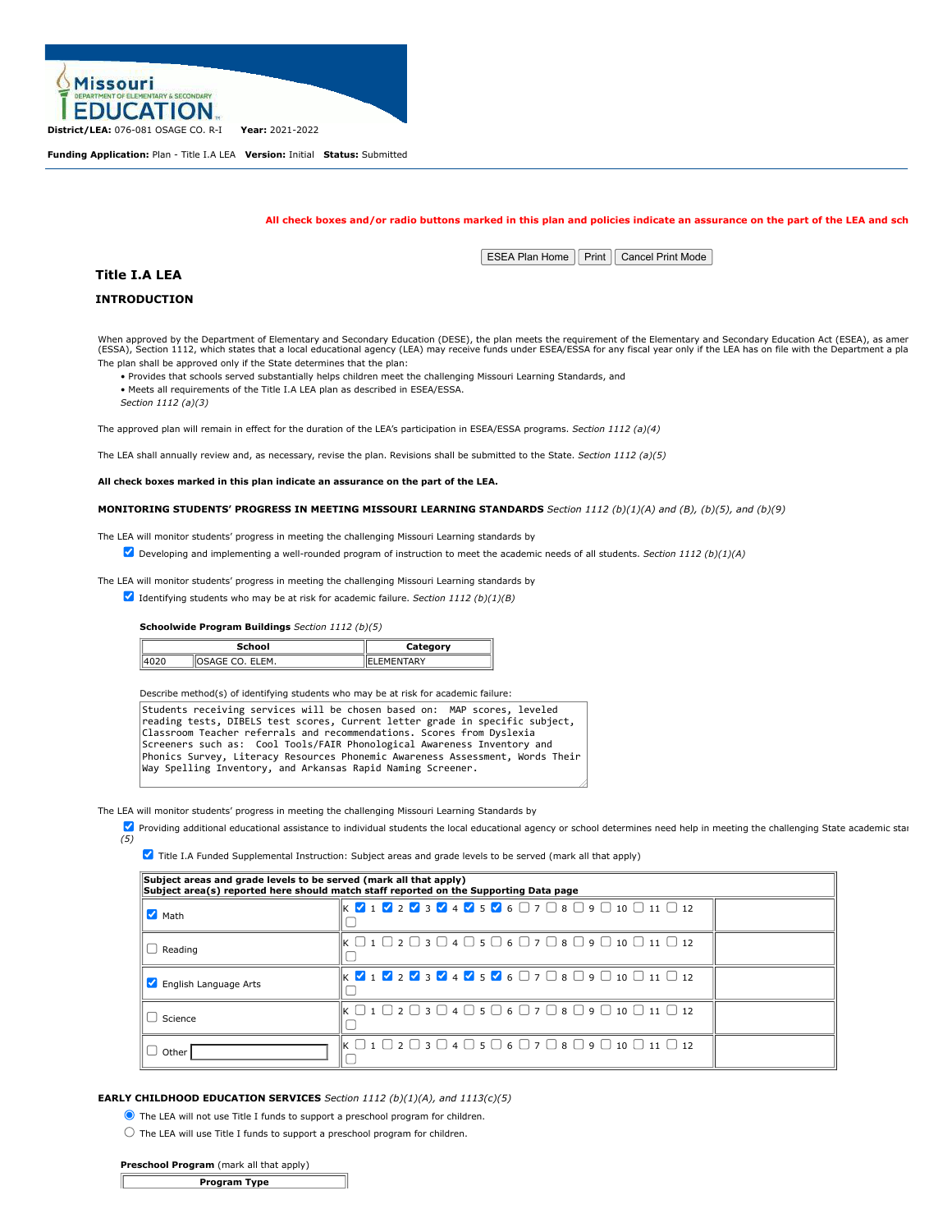

**Funding Application:** Plan - Title I.A LEA **Version:** Initial **Status:** Submitted

### **All check boxes and/or radio buttons marked in this plan and policies indicate an assurance on the part of the LEA and sch**

**ESEA Plan Home Print Cancel Print Mode** 

# **Title I.A LEA**

# **INTRODUCTION**

When approved by the Department of Elementary and Secondary Education (DESE), the plan meets the requirement of the Elementary and Secondary Education Act (ESEA), as amer<br>(ESSA), Section 1112, which states that a local edu The plan shall be approved only if the State determines that the plan:

• Provides that schools served substantially helps children meet the challenging Missouri Learning Standards, and • Meets all requirements of the Title I.A LEA plan as described in ESEA/ESSA.

*Section 1112 (a)(3)*

The approved plan will remain in effect for the duration of the LEA's participation in ESEA/ESSA programs. *Section 1112 (a)(4)*

The LEA shall annually review and, as necessary, revise the plan. Revisions shall be submitted to the State. *Section 1112 (a)(5)*

**All check boxes marked in this plan indicate an assurance on the part of the LEA.**

**MONITORING STUDENTS' PROGRESS IN MEETING MISSOURI LEARNING STANDARDS** *Section 1112 (b)(1)(A) and (B), (b)(5), and (b)(9)*

The LEA will monitor students' progress in meeting the challenging Missouri Learning standards by

Developing and implementing a well-rounded program of instruction to meet the academic needs of all students. *Section 1112 (b)(1)(A)*

The LEA will monitor students' progress in meeting the challenging Missouri Learning standards by

Identifying students who may be at risk for academic failure. *Section 1112 (b)(1)(B)*

**Schoolwide Program Buildings** *Section 1112 (b)(5)*

|      | School            | Category         |
|------|-------------------|------------------|
| 4020 | llosage co. Elem. | <b>LEMENTARY</b> |

Describe method(s) of identifying students who may be at risk for academic failure:

Students receiving services will be chosen based on: MAP scores, leveled reading tests, DIBELS test scores, Current letter grade in specific subject, Classroom Teacher referrals and recommendations. Scores from Dyslexia Screeners such as: Cool Tools/FAIR Phonological Awareness Inventory and Phonics Survey, Literacy Resources Phonemic Awareness Assessment, Words Their Way Spelling Inventory, and Arkansas Rapid Naming Screener.

The LEA will monitor students' progress in meeting the challenging Missouri Learning Standards by

**V** Providing additional educational assistance to individual students the local educational agency or school determines need help in meeting the challenging State academic stan *(5)*

**7** Title I.A Funded Supplemental Instruction: Subject areas and grade levels to be served (mark all that apply)

| Subject areas and grade levels to be served (mark all that apply)<br>Subject area(s) reported here should match staff reported on the Supporting Data page |                                                                                                                                                                 |  |  |  |
|------------------------------------------------------------------------------------------------------------------------------------------------------------|-----------------------------------------------------------------------------------------------------------------------------------------------------------------|--|--|--|
| $\blacksquare$ Math                                                                                                                                        | $\mathsf{K}$ $\mathsf{V}$ 1 $\mathsf{V}$ 2 $\mathsf{V}$ 3 $\mathsf{V}$ 4 $\mathsf{V}$ 5 $\mathsf{V}$ 6 $\Box$ 7 $\Box$ 8 $\Box$ 9 $\Box$ 10 $\Box$ 11 $\Box$ 12 |  |  |  |
| $\Box$ Reading                                                                                                                                             | $\vert$ k $\Box$ 1 $\Box$ 2 $\Box$ 3 $\Box$ 4 $\Box$ 5 $\Box$ 6 $\Box$ 7 $\Box$ 8 $\Box$ 9 $\Box$ 10 $\Box$ 11 $\Box$ 12                                        |  |  |  |
| English Language Arts                                                                                                                                      | $\mathsf{K}$ $\mathsf{V}$ 1 $\mathsf{V}$ 2 $\mathsf{V}$ 3 $\mathsf{V}$ 4 $\mathsf{V}$ 5 $\mathsf{V}$ 6 $\Box$ 7 $\Box$ 8 $\Box$ 9 $\Box$ 10 $\Box$ 11 $\Box$ 12 |  |  |  |
| $\cup$ Science                                                                                                                                             | $\mathbb{R} \square$ 1 $\square$ 2 $\square$ 3 $\square$ 4 $\square$ 5 $\square$ 6 $\square$ 7 $\square$ 8 $\square$ 9 $\square$ 10 $\square$ 11 $\square$ 12   |  |  |  |
| $\cup$ Other                                                                                                                                               | $\parallel$ K $\Box$ 1 $\Box$ 2 $\Box$ 3 $\Box$ 4 $\Box$ 5 $\Box$ 6 $\Box$ 7 $\Box$ 8 $\Box$ 9 $\Box$ 10 $\Box$ 11 $\Box$ 12                                    |  |  |  |

# **EARLY CHILDHOOD EDUCATION SERVICES** *Section 1112 (b)(1)(A), and 1113(c)(5)*

The LEA will not use Title I funds to support a preschool program for children.

 $\bigcirc$  The LEA will use Title I funds to support a preschool program for children.

#### **Preschool Program** (mark all that apply)

| <b>Program Type</b> |
|---------------------|
|---------------------|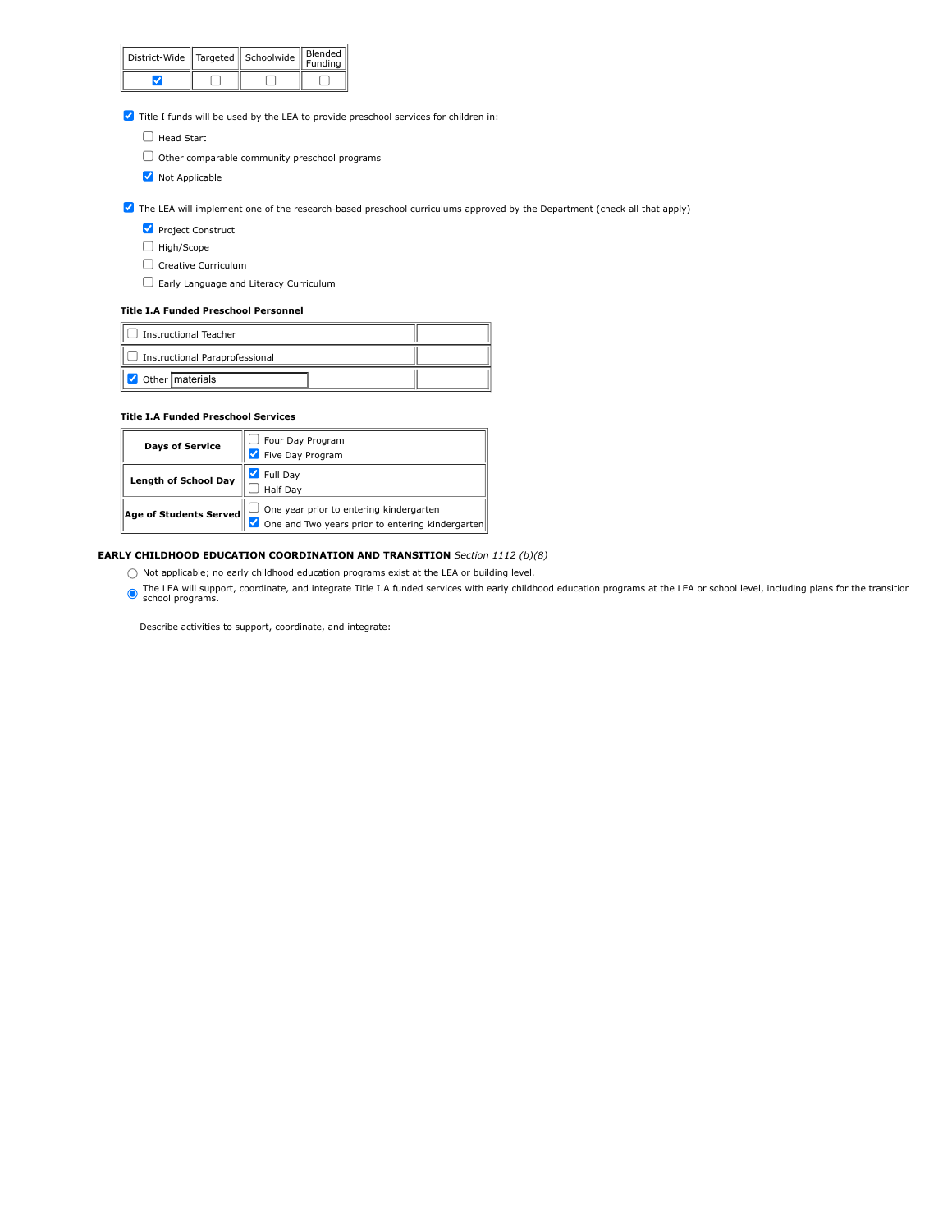| District-Wide   Targeted   Schoolwide |  | Blended<br>Funding |  |
|---------------------------------------|--|--------------------|--|
|                                       |  |                    |  |

Title I funds will be used by the LEA to provide preschool services for children in:

- $\Box$  Head Start
- $\Box$  Other comparable community preschool programs
- **V** Not Applicable

The LEA will implement one of the research-based preschool curriculums approved by the Department (check all that apply)

- **Project Construct**
- $\Box$  High/Scope
- $\Box$  Creative Curriculum
- Early Language and Literacy Curriculum

# **Title I.A Funded Preschool Personnel**

| <b>Instructional Teacher</b>   |  |
|--------------------------------|--|
| Instructional Paraprofessional |  |
| Other materials                |  |

# **Title I.A Funded Preschool Services**

| <b>Days of Service</b>      | Four Day Program                                 |
|-----------------------------|--------------------------------------------------|
|                             | Five Day Program                                 |
| <b>Length of School Day</b> | Full Day                                         |
|                             | Half Day                                         |
| Age of Students Served      | One year prior to entering kindergarten          |
|                             | One and Two years prior to entering kindergarten |

# **EARLY CHILDHOOD EDUCATION COORDINATION AND TRANSITION** *Section 1112 (b)(8)*

- $\bigcirc$  Not applicable; no early childhood education programs exist at the LEA or building level.
- The LEA will support, coordinate, and integrate Title I.A funded services with early childhood education programs at the LEA or school level, including plans for the transition school programs.

Describe activities to support, coordinate, and integrate: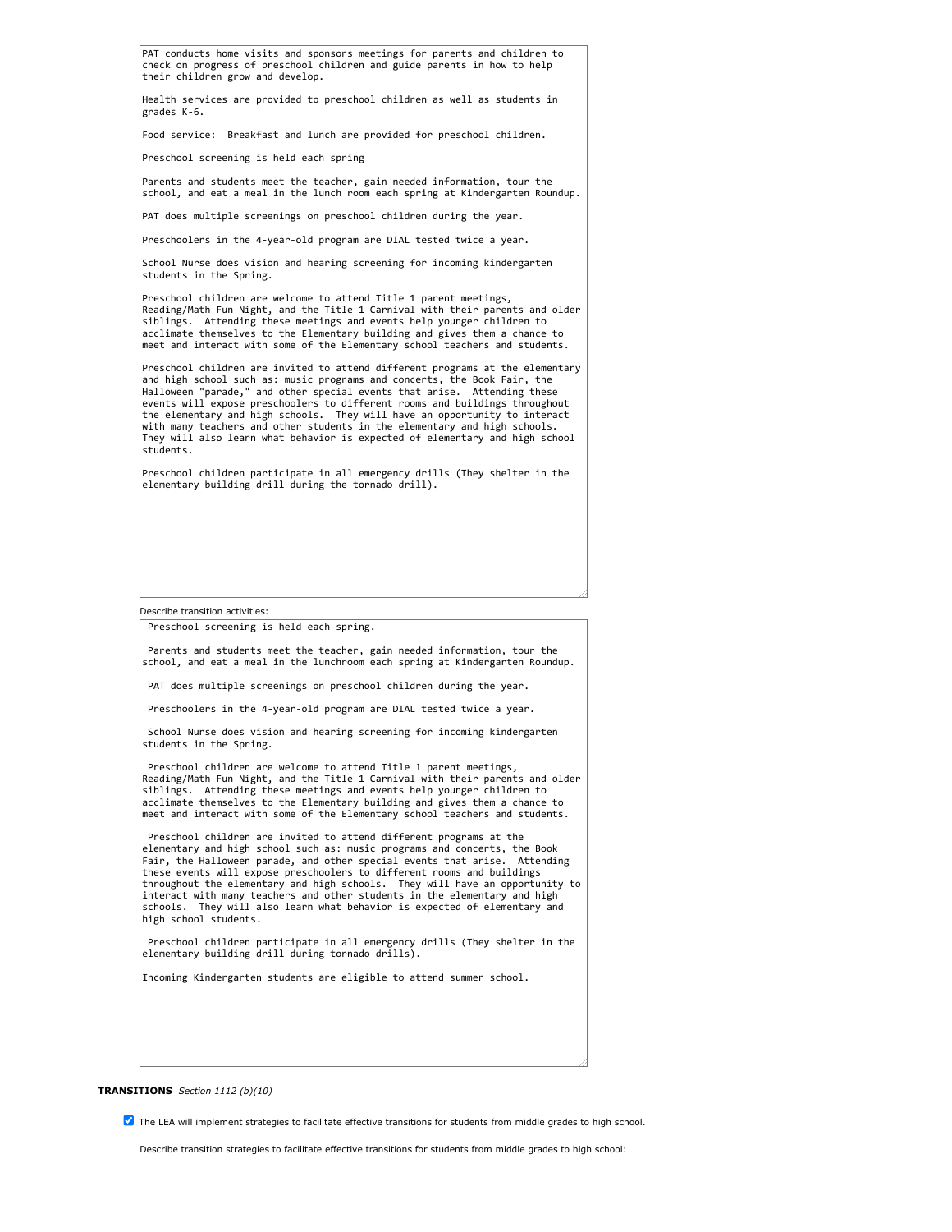Describe transition activities: PAT conducts home visits and sponsors meetings for parents and children to check on progress of preschool children and guide parents in how to help their children grow and develop. Health services are provided to preschool children as well as students in grades K-6. Food service: Breakfast and lunch are provided for preschool children. Preschool screening is held each spring Parents and students meet the teacher, gain needed information, tour the school, and eat a meal in the lunch room each spring at Kindergarten Roundup. PAT does multiple screenings on preschool children during the year. Preschoolers in the 4-year-old program are DIAL tested twice a year. School Nurse does vision and hearing screening for incoming kindergarten students in the Spring. Preschool children are welcome to attend Title 1 parent meetings, Reading/Math Fun Night, and the Title 1 Carnival with their parents and older siblings. Attending these meetings and events help younger children to acclimate themselves to the Elementary building and gives them a chance to meet and interact with some of the Elementary school teachers and students. Preschool children are invited to attend different programs at the elementary and high school such as: music programs and concerts, the Book Fair, the Halloween "parade," and other special events that arise. Attending these events will expose preschoolers to different rooms and buildings throughout the elementary and high schools. They will have an opportunity to interact with many teachers and other students in the elementary and high schools. They will also learn what behavior is expected of elementary and high school students. Preschool children participate in all emergency drills (They shelter in the elementary building drill during the tornado drill). Preschool screening is held each spring.

Parents and students meet the teacher, gain needed information, tour the school, and eat a meal in the lunchroom each spring at Kindergarten Roundup.

PAT does multiple screenings on preschool children during the year.

Preschoolers in the 4-year-old program are DIAL tested twice a year.

School Nurse does vision and hearing screening for incoming kindergarten students in the Spring.

Preschool children are welcome to attend Title 1 parent meetings, Reading/Math Fun Night, and the Title 1 Carnival with their parents and older siblings. Attending these meetings and events help younger children to acclimate themselves to the Elementary building and gives them a chance to meet and interact with some of the Elementary school teachers and students.

Preschool children are invited to attend different programs at the elementary and high school such as: music programs and concerts, the Book<br>Fair, the Halloween parade, and other special events that arise. Attending Fair, the Halloween parade, and other special events that arise. these events will expose preschoolers to different rooms and buildings throughout the elementary and high schools. They will have an opportunity to interact with many teachers and other students in the elementary and high schools. They will also learn what behavior is expected of elementary and high school students.

Preschool children participate in all emergency drills (They shelter in the elementary building drill during tornado drills).

Incoming Kindergarten students are eligible to attend summer school.

#### **TRANSITIONS** *Section 1112 (b)(10)*

The LEA will implement strategies to facilitate effective transitions for students from middle grades to high school.

Describe transition strategies to facilitate effective transitions for students from middle grades to high school: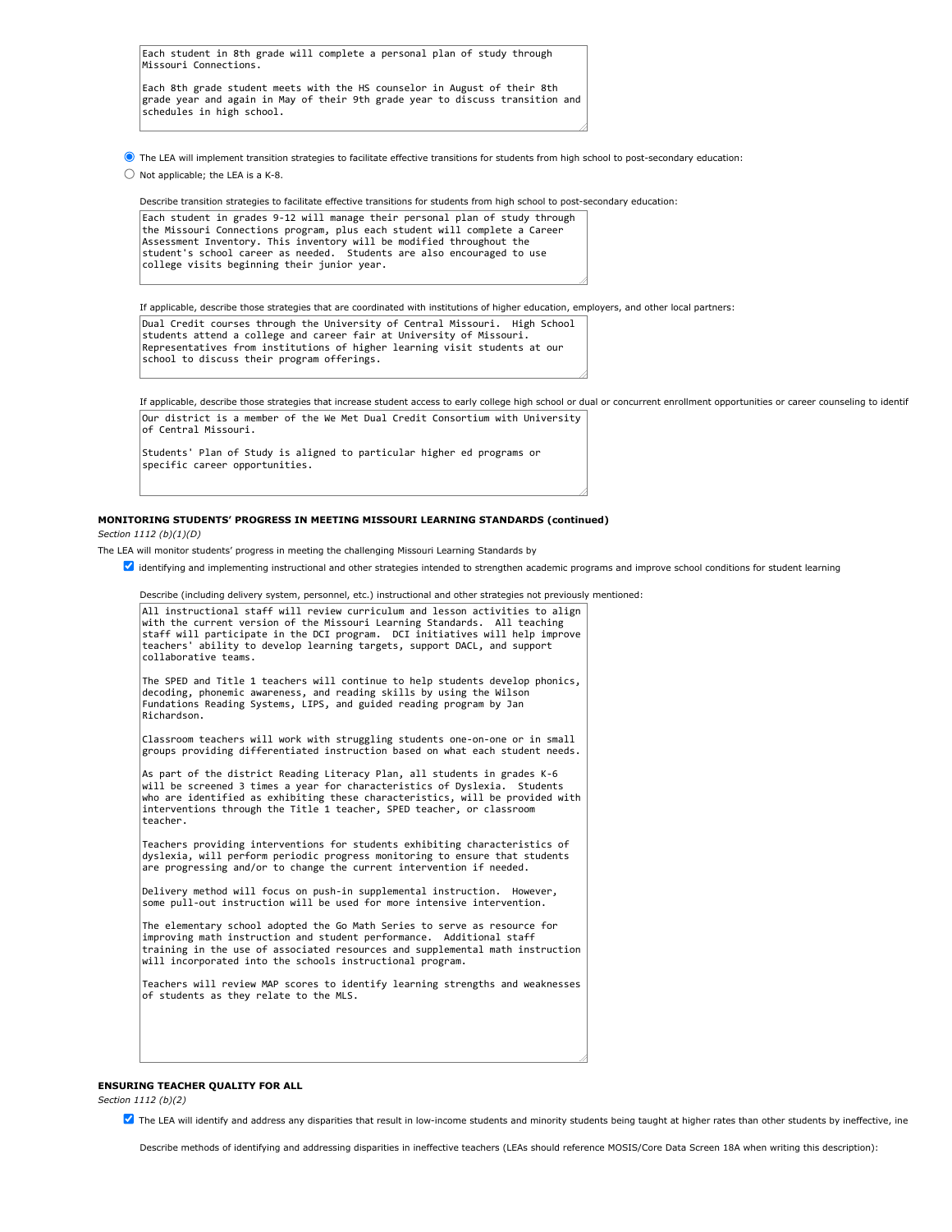|                       |  |  | Each student in 8th grade will complete a personal plan of study through |  |  |  |  |
|-----------------------|--|--|--------------------------------------------------------------------------|--|--|--|--|
| Missouri Connections. |  |  |                                                                          |  |  |  |  |

Each 8th grade student meets with the HS counselor in August of their 8th grade year and again in May of their 9th grade year to discuss transition and schedules in high school.

The LEA will implement transition strategies to facilitate effective transitions for students from high school to post-secondary education:

 $\bigcirc$  Not applicable; the LEA is a K-8.

Describe transition strategies to facilitate effective transitions for students from high school to post-secondary education:

Each student in grades 9-12 will manage their personal plan of study through the Missouri Connections program, plus each student will complete a Career Assessment Inventory. This inventory will be modified throughout the student's school career as needed. Students are also encouraged to use college visits beginning their junior year.

If applicable, describe those strategies that are coordinated with institutions of higher education, employers, and other local partners:

| Dual Credit courses through the University of Central Missouri. High School |
|-----------------------------------------------------------------------------|
| students attend a college and career fair at University of Missouri.        |
| Representatives from institutions of higher learning visit students at our  |
| school to discuss their program offerings.                                  |

If applicable, describe those strategies that increase student access to early college high school or dual or concurrent enrollment opportunities or career counseling to identif Our district is a member of the We Met Dual Credit Consortium with University of Central Missouri.

Students' Plan of Study is aligned to particular higher ed programs or specific career opportunities.

### **MONITORING STUDENTS' PROGRESS IN MEETING MISSOURI LEARNING STANDARDS (continued)** *Section 1112 (b)(1)(D)*

- The LEA will monitor students' progress in meeting the challenging Missouri Learning Standards by
	- dentifying and implementing instructional and other strategies intended to strengthen academic programs and improve school conditions for student learning

| Describe (including delivery system, personnel, etc.) instructional and other strategies not previously mentioned:                                                                                                                                                                                                                             |
|------------------------------------------------------------------------------------------------------------------------------------------------------------------------------------------------------------------------------------------------------------------------------------------------------------------------------------------------|
| All instructional staff will review curriculum and lesson activities to align<br>with the current version of the Missouri Learning Standards. All teaching<br>staff will participate in the DCI program. DCI initiatives will help improve<br>teachers' ability to develop learning targets, support DACL, and support<br>collaborative teams. |
| The SPED and Title 1 teachers will continue to help students develop phonics,<br>decoding, phonemic awareness, and reading skills by using the Wilson<br>Fundations Reading Systems, LIPS, and guided reading program by Jan<br>Richardson.                                                                                                    |
| Classroom teachers will work with struggling students one-on-one or in small<br>groups providing differentiated instruction based on what each student needs.                                                                                                                                                                                  |
| As part of the district Reading Literacy Plan, all students in grades K-6<br>will be screened 3 times a year for characteristics of Dyslexia. Students<br>who are identified as exhibiting these characteristics, will be provided with<br>interventions through the Title 1 teacher, SPED teacher, or classroom<br>teacher.                   |
| Teachers providing interventions for students exhibiting characteristics of<br>dyslexia, will perform periodic progress monitoring to ensure that students<br>are progressing and/or to change the current intervention if needed.                                                                                                             |
| Delivery method will focus on push-in supplemental instruction. However,<br>some pull-out instruction will be used for more intensive intervention.                                                                                                                                                                                            |
| The elementary school adopted the Go Math Series to serve as resource for<br>improving math instruction and student performance. Additional staff<br>training in the use of associated resources and supplemental math instruction<br>will incorporated into the schools instructional program.                                                |
| Teachers will review MAP scores to identify learning strengths and weaknesses<br>of students as they relate to the MLS.                                                                                                                                                                                                                        |
|                                                                                                                                                                                                                                                                                                                                                |
|                                                                                                                                                                                                                                                                                                                                                |

# **ENSURING TEACHER QUALITY FOR ALL**

*Section 1112 (b)(2)*

**Z** The LEA will identify and address any disparities that result in low-income students and minority students being taught at higher rates than other students by ineffective, ine

Describe methods of identifying and addressing disparities in ineffective teachers (LEAs should reference MOSIS/Core Data Screen 18A when writing this description):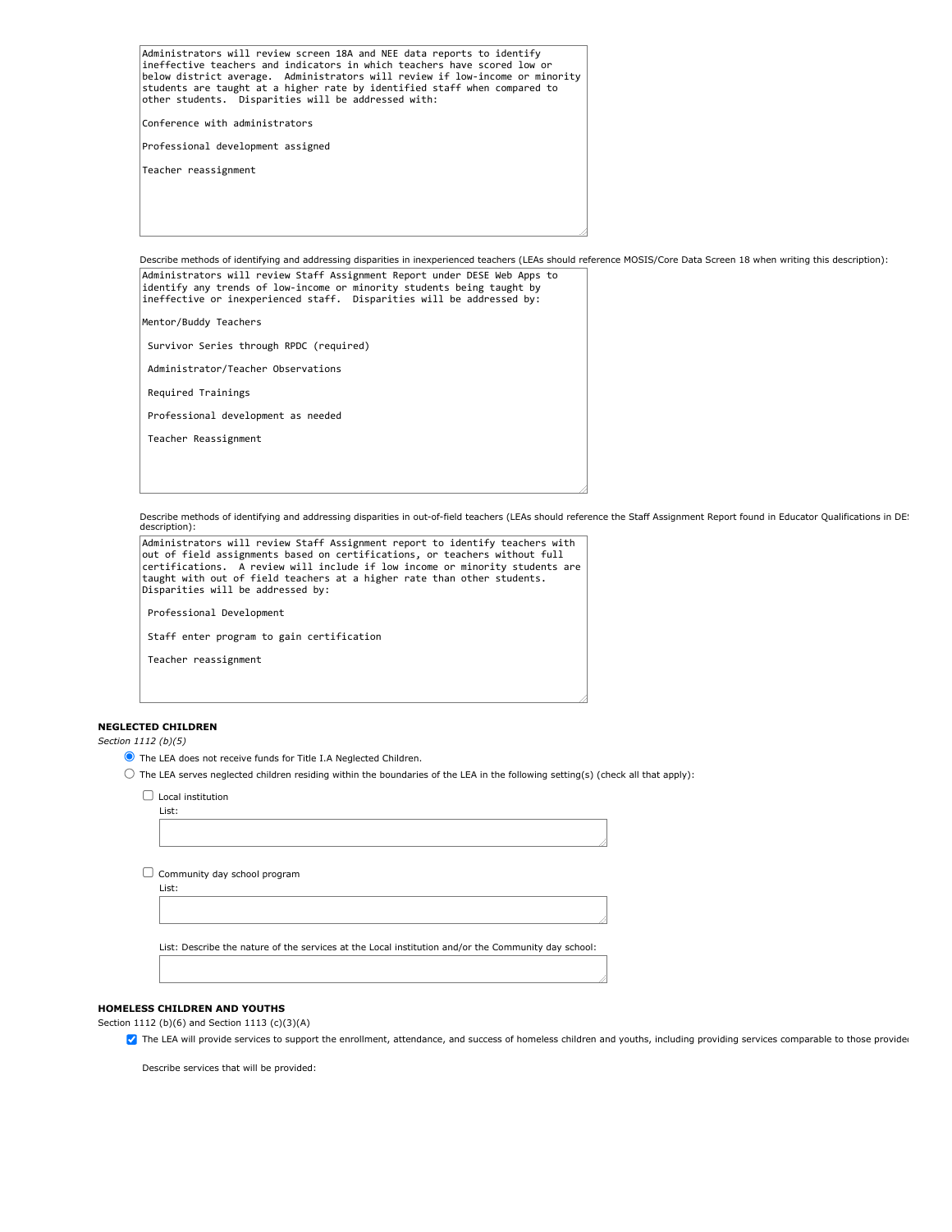Administrators will review screen 18A and NEE data reports to identify ineffective teachers and indicators in which teachers have scored low or below district average. Administrators will review if low-income or minority students are taught at a higher rate by identified staff when compared to other students. Disparities will be addressed with: Conference with administrators Professional development assigned Teacher reassignment

Describe methods of identifying and addressing disparities in inexperienced teachers (LEAs should reference MOSIS/Core Data Screen 18 when writing this description):

Administrators will review Staff Assignment Report under DESE Web Apps to identify any trends of low-income or minority students being taught by ineffective or inexperienced staff. Disparities will be addressed by: Mentor/Buddy Teachers Survivor Series through RPDC (required) Administrator/Teacher Observations Required Trainings Professional development as needed Teacher Reassignment

Describe methods of identifying and addressing disparities in out-of-field teachers (LEAs should reference the Staff Assignment Report found in Educator Qualifications in DE! description):



### **NEGLECTED CHILDREN**

*Section 1112 (b)(5)*

- The LEA does not receive funds for Title I.A Neglected Children.
- $\bigcirc$  The LEA serves neglected children residing within the boundaries of the LEA in the following setting(s) (check all that apply):
	- $\Box$  Local institution List:

| $\Box$ Community day school program |
|-------------------------------------|
| List:                               |

List: Describe the nature of the services at the Local institution and/or the Community day school:

### **HOMELESS CHILDREN AND YOUTHS**

Section 1112 (b)(6) and Section 1113 (c)(3)(A)

The LEA will provide services to support the enrollment, attendance, and success of homeless children and youths, including providing services comparable to those provide

Describe services that will be provided: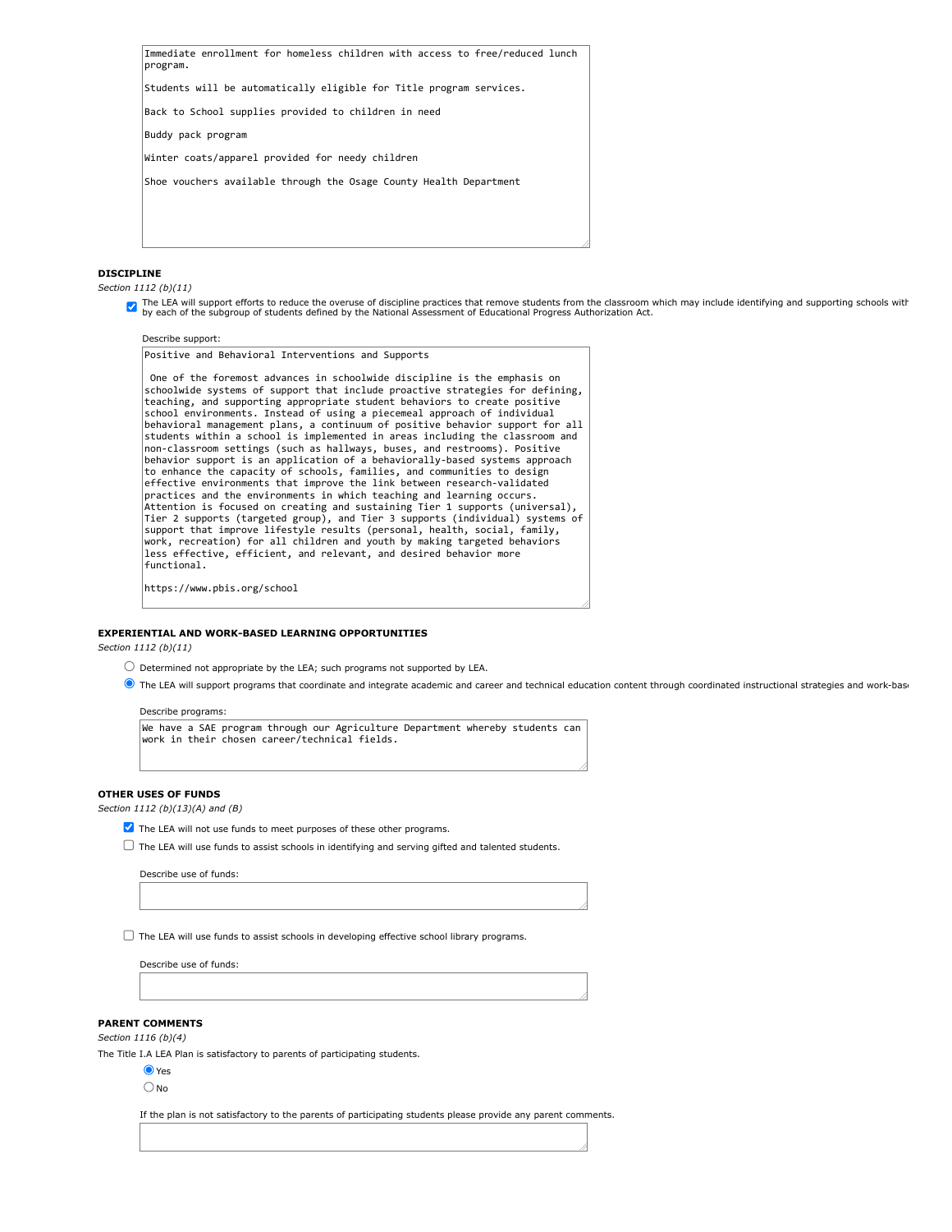Immediate enrollment for homeless children with access to free/reduced lunch program.

Students will be automatically eligible for Title program services.

Back to School supplies provided to children in need

Buddy pack program

Winter coats/apparel provided for needy children

Shoe vouchers available through the Osage County Health Department

## **DISCIPLINE**

*Section 1112 (b)(11)*

The LEA will support efforts to reduce the overuse of discipline practices that remove students from the classroom which may include identifying and supporting schools with the National Assessment of Educational Progress A

# Describe support: Positive and Behavioral Interventions and Supports One of the foremost advances in schoolwide discipline is the emphasis on schoolwide systems of support that include proactive strategies for defining, teaching, and supporting appropriate student behaviors to create positive school environments. Instead of using a piecemeal approach of individual behavioral management plans, a continuum of positive behavior support for all students within a school is implemented in areas including the classroom and non-classroom settings (such as hallways, buses, and restrooms). Positive behavior support is an application of a behaviorally-based systems approach to enhance the capacity of schools, families, and communities to design effective environments that improve the link between research-validated practices and the environments in which teaching and learning occurs. Attention is focused on creating and sustaining Tier 1 supports (universal), Tier 2 supports (targeted group), and Tier 3 supports (individual) systems of support that improve lifestyle results (personal, health, social, family, work, recreation) for all children and youth by making targeted behaviors less effective, efficient, and relevant, and desired behavior more functional.

https://www.pbis.org/school

### **EXPERIENTIAL AND WORK-BASED LEARNING OPPORTUNITIES**

*Section 1112 (b)(11)*

- $\bigcirc$  Determined not appropriate by the LEA; such programs not supported by LEA.
- $\bullet$  The LEA will support programs that coordinate and integrate academic and career and technical education content through coordinated instructional strategies and work-base

#### Describe programs:

We have a SAE program through our Agriculture Department whereby students can work in their chosen career/technical fields.

## **OTHER USES OF FUNDS**

*Section 1112 (b)(13)(A) and (B)*

- The LEA will not use funds to meet purposes of these other programs.
- $\Box$  The LEA will use funds to assist schools in identifying and serving gifted and talented students.

Describe use of funds:

 $\Box$  The LEA will use funds to assist schools in developing effective school library programs.

Describe use of funds:

### **PARENT COMMENTS**

*Section 1116 (b)(4)*

The Title I.A LEA Plan is satisfactory to parents of participating students.

**O**Yes  $\bigcirc$  No

If the plan is not satisfactory to the parents of participating students please provide any parent comments.